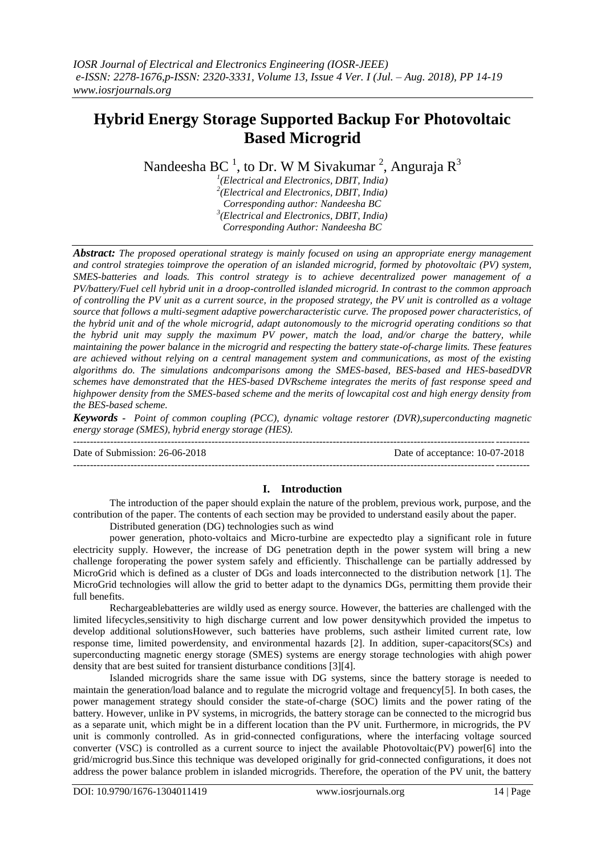# **Hybrid Energy Storage Supported Backup For Photovoltaic Based Microgrid**

Nandeesha BC<sup>1</sup>, to Dr. W M Sivakumar<sup>2</sup>, Anguraja R<sup>3</sup>

*1 (Electrical and Electronics, DBIT, India) 2 (Electrical and Electronics, DBIT, India) Corresponding author: Nandeesha BC 3 (Electrical and Electronics, DBIT, India) Corresponding Author: Nandeesha BC*

*Abstract: The proposed operational strategy is mainly focused on using an appropriate energy management and control strategies toimprove the operation of an islanded microgrid, formed by photovoltaic (PV) system, SMES-batteries and loads. This control strategy is to achieve decentralized power management of a PV/battery/Fuel cell hybrid unit in a droop-controlled islanded microgrid. In contrast to the common approach of controlling the PV unit as a current source, in the proposed strategy, the PV unit is controlled as a voltage source that follows a multi-segment adaptive powercharacteristic curve. The proposed power characteristics, of the hybrid unit and of the whole microgrid, adapt autonomously to the microgrid operating conditions so that the hybrid unit may supply the maximum PV power, match the load, and/or charge the battery, while maintaining the power balance in the microgrid and respecting the battery state-of-charge limits. These features are achieved without relying on a central management system and communications, as most of the existing algorithms do. The simulations andcomparisons among the SMES-based, BES-based and HES-basedDVR schemes have demonstrated that the HES-based DVRscheme integrates the merits of fast response speed and highpower density from the SMES-based scheme and the merits of lowcapital cost and high energy density from the BES-based scheme.*

*Keywords - Point of common coupling (PCC), dynamic voltage restorer (DVR),superconducting magnetic energy storage (SMES), hybrid energy storage (HES).* ---------------------------------------------------------------------------------------------------------------------------------------

Date of Submission: 26-06-2018 Date of acceptance: 10-07-2018

## **I. Introduction**

---------------------------------------------------------------------------------------------------------------------------------------

The introduction of the paper should explain the nature of the problem, previous work, purpose, and the contribution of the paper. The contents of each section may be provided to understand easily about the paper.

Distributed generation (DG) technologies such as wind

power generation, photo-voltaics and Micro-turbine are expectedto play a significant role in future electricity supply. However, the increase of DG penetration depth in the power system will bring a new challenge foroperating the power system safely and efficiently. Thischallenge can be partially addressed by MicroGrid which is defined as a cluster of DGs and loads interconnected to the distribution network [1]. The MicroGrid technologies will allow the grid to better adapt to the dynamics DGs, permitting them provide their full benefits.

Rechargeablebatteries are wildly used as energy source. However, the batteries are challenged with the limited lifecycles,sensitivity to high discharge current and low power densitywhich provided the impetus to develop additional solutionsHowever, such batteries have problems, such astheir limited current rate, low response time, limited powerdensity, and environmental hazards [2]. In addition, super-capacitors(SCs) and superconducting magnetic energy storage (SMES) systems are energy storage technologies with ahigh power density that are best suited for transient disturbance conditions [3][4].

Islanded microgrids share the same issue with DG systems, since the battery storage is needed to maintain the generation/load balance and to regulate the microgrid voltage and frequency[5]. In both cases, the power management strategy should consider the state-of-charge (SOC) limits and the power rating of the battery. However, unlike in PV systems, in microgrids, the battery storage can be connected to the microgrid bus as a separate unit, which might be in a different location than the PV unit. Furthermore, in microgrids, the PV unit is commonly controlled. As in grid-connected configurations, where the interfacing voltage sourced converter (VSC) is controlled as a current source to inject the available Photovoltaic(PV) power[6] into the grid/microgrid bus.Since this technique was developed originally for grid-connected configurations, it does not address the power balance problem in islanded microgrids. Therefore, the operation of the PV unit, the battery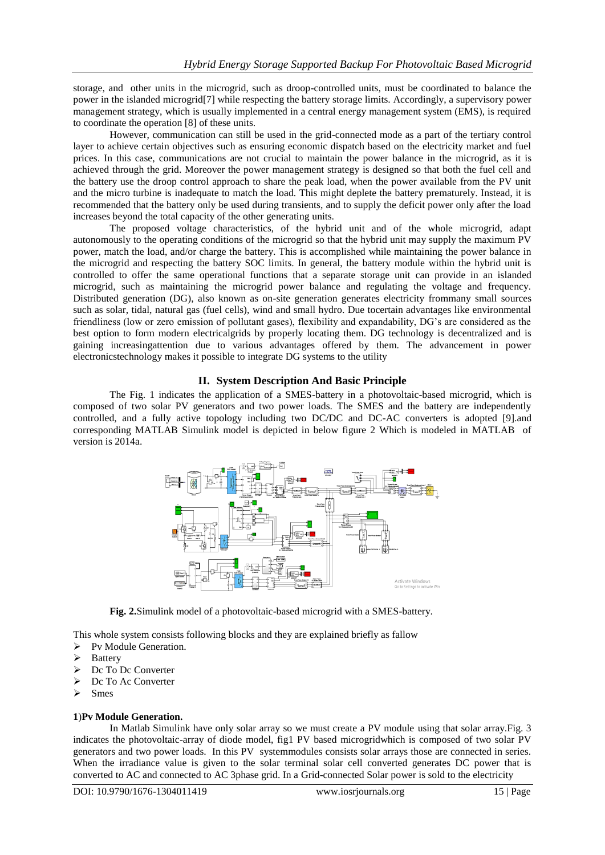storage, and other units in the microgrid, such as droop-controlled units, must be coordinated to balance the power in the islanded microgrid[7] while respecting the battery storage limits. Accordingly, a supervisory power management strategy, which is usually implemented in a central energy management system (EMS), is required to coordinate the operation [8] of these units.

However, communication can still be used in the grid-connected mode as a part of the tertiary control layer to achieve certain objectives such as ensuring economic dispatch based on the electricity market and fuel prices. In this case, communications are not crucial to maintain the power balance in the microgrid, as it is achieved through the grid. Moreover the power management strategy is designed so that both the fuel cell and the battery use the droop control approach to share the peak load, when the power available from the PV unit and the micro turbine is inadequate to match the load. This might deplete the battery prematurely. Instead, it is recommended that the battery only be used during transients, and to supply the deficit power only after the load increases beyond the total capacity of the other generating units.

The proposed voltage characteristics, of the hybrid unit and of the whole microgrid, adapt autonomously to the operating conditions of the microgrid so that the hybrid unit may supply the maximum PV power, match the load, and/or charge the battery. This is accomplished while maintaining the power balance in the microgrid and respecting the battery SOC limits. In general, the battery module within the hybrid unit is controlled to offer the same operational functions that a separate storage unit can provide in an islanded microgrid, such as maintaining the microgrid power balance and regulating the voltage and frequency. Distributed generation (DG), also known as on-site generation generates electricity frommany small sources such as solar, tidal, natural gas (fuel cells), wind and small hydro. Due tocertain advantages like environmental friendliness (low or zero emission of pollutant gases), flexibility and expandability, DG's are considered as the best option to form modern electricalgrids by properly locating them. DG technology is decentralized and is gaining increasingattention due to various advantages offered by them. The advancement in power electronicstechnology makes it possible to integrate DG systems to the utility

## **II. System Description And Basic Principle**

The Fig. 1 indicates the application of a SMES-battery in a photovoltaic-based microgrid, which is composed of two solar PV generators and two power loads. The SMES and the battery are independently controlled, and a fully active topology including two DC/DC and DC-AC converters is adopted [9].and corresponding MATLAB Simulink model is depicted in below figure 2 Which is modeled in MATLAB of version is 2014a.



**Fig. 2.**Simulink model of a photovoltaic-based microgrid with a SMES-battery.

This whole system consists following blocks and they are explained briefly as fallow

- > Pv Module Generation.
- Battery
- Dc To Dc Converter
- Dc To Ac Converter
- Smes

#### **1**)**Pv Module Generation.**

In Matlab Simulink have only solar array so we must create a PV module using that solar array.Fig. 3 indicates the photovoltaic-array of diode model, fig1 PV based microgridwhich is composed of two solar PV generators and two power loads. In this PV systemmodules consists solar arrays those are connected in series. When the irradiance value is given to the solar terminal solar cell converted generates DC power that is converted to AC and connected to AC 3phase grid. In a Grid-connected Solar power is sold to the electricity

DOI: 10.9790/1676-1304011419 www.iosrjournals.org 15 | Page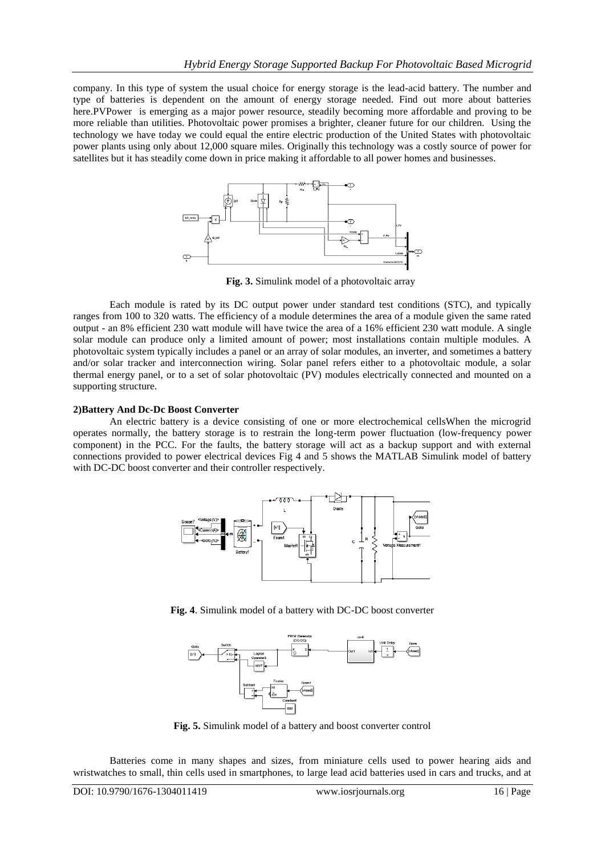company. In this type of system the usual choice for energy storage is the lead-acid battery. The number and type of batteries is dependent on the amount of energy storage needed. Find out more about batteries here.PVPower is emerging as a major power resource, steadily becoming more affordable and proving to be more reliable than utilities. Photovoltaic power promises a brighter, cleaner future for our children. Using the technology we have today we could equal the entire electric production of the United States with photovoltaic power plants using only about 12,000 square miles. Originally this technology was a costly source of power for satellites but it has steadily come down in price making it affordable to all power homes and businesses.



**Fig. 3.** Simulink model of a photovoltaic array

Each module is rated by its DC output power under standard test conditions (STC), and typically ranges from 100 to 320 watts. The efficiency of a module determines the area of a module given the same rated output - an 8% efficient 230 watt module will have twice the area of a 16% efficient 230 watt module. A single solar module can produce only a limited amount of power; most installations contain multiple modules. A photovoltaic system typically includes a panel or an array of solar modules, an inverter, and sometimes a battery and/or solar tracker and interconnection wiring. Solar panel refers either to a photovoltaic module, a solar thermal energy panel, or to a set of solar photovoltaic (PV) modules electrically connected and mounted on a supporting structure.

## **2)Battery And Dc-Dc Boost Converter**

An electric battery is a device consisting of one or more electrochemical cellsWhen the microgrid operates normally, the battery storage is to restrain the long-term power fluctuation (low-frequency power component) in the PCC. For the faults, the battery storage will act as a backup support and with external connections provided to power electrical devices Fig 4 and 5 shows the MATLAB Simulink model of battery with DC-DC boost converter and their controller respectively.



**Fig. 4**. Simulink model of a battery with DC-DC boost converter



**Fig. 5.** Simulink model of a battery and boost converter control

Batteries come in many shapes and sizes, from miniature cells used to power hearing aids and wristwatches to small, thin cells used in smartphones, to large lead acid batteries used in cars and trucks, and at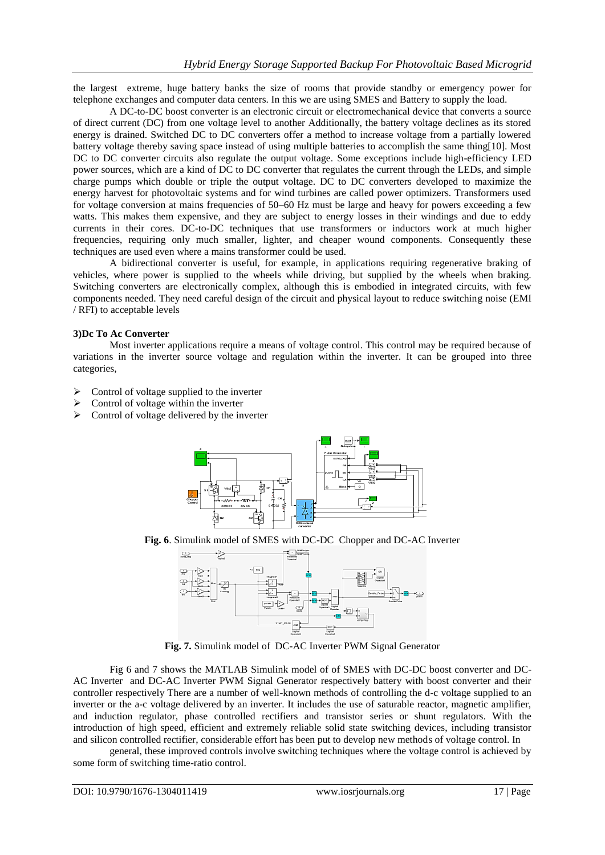the largest extreme, huge battery banks the size of rooms that provide standby or emergency power for telephone exchanges and computer data centers. In this we are using SMES and Battery to supply the load.

A DC-to-DC boost converter is an electronic circuit or electromechanical device that converts a source of direct current (DC) from one voltage level to another Additionally, the battery voltage declines as its stored energy is drained. Switched DC to DC converters offer a method to increase voltage from a partially lowered battery voltage thereby saving space instead of using multiple batteries to accomplish the same thing[10]. Most DC to DC converter circuits also regulate the output voltage. Some exceptions include high-efficiency LED power sources, which are a kind of DC to DC converter that regulates the current through the LEDs, and simple charge pumps which double or triple the output voltage. DC to DC converters developed to maximize the energy harvest for photovoltaic systems and for wind turbines are called power optimizers. Transformers used for voltage conversion at mains frequencies of 50–60 Hz must be large and heavy for powers exceeding a few watts. This makes them expensive, and they are subject to energy losses in their windings and due to eddy currents in their cores. DC-to-DC techniques that use transformers or inductors work at much higher frequencies, requiring only much smaller, lighter, and cheaper wound components. Consequently these techniques are used even where a mains transformer could be used.

A bidirectional converter is useful, for example, in applications requiring regenerative braking of vehicles, where power is supplied to the wheels while driving, but supplied by the wheels when braking. Switching converters are electronically complex, although this is embodied in integrated circuits, with few components needed. They need careful design of the circuit and physical layout to reduce switching noise (EMI / RFI) to acceptable levels

## **3)Dc To Ac Converter**

Most inverter applications require a means of voltage control. This control may be required because of variations in the inverter source voltage and regulation within the inverter. It can be grouped into three categories,

- $\triangleright$  Control of voltage supplied to the inverter
- $\triangleright$  Control of voltage within the inverter
- $\triangleright$  Control of voltage delivered by the inverter



**Fig. 6**. Simulink model of SMES with DC-DC Chopper and DC-AC Inverter



**Fig. 7.** Simulink model of DC-AC Inverter PWM Signal Generator

Fig 6 and 7 shows the MATLAB Simulink model of of SMES with DC-DC boost converter and DC-AC Inverter and DC-AC Inverter PWM Signal Generator respectively battery with boost converter and their controller respectively There are a number of well-known methods of controlling the d-c voltage supplied to an inverter or the a-c voltage delivered by an inverter. It includes the use of saturable reactor, magnetic amplifier, and induction regulator, phase controlled rectifiers and transistor series or shunt regulators. With the introduction of high speed, efficient and extremely reliable solid state switching devices, including transistor and silicon controlled rectifier, considerable effort has been put to develop new methods of voltage control. In

general, these improved controls involve switching techniques where the voltage control is achieved by some form of switching time-ratio control.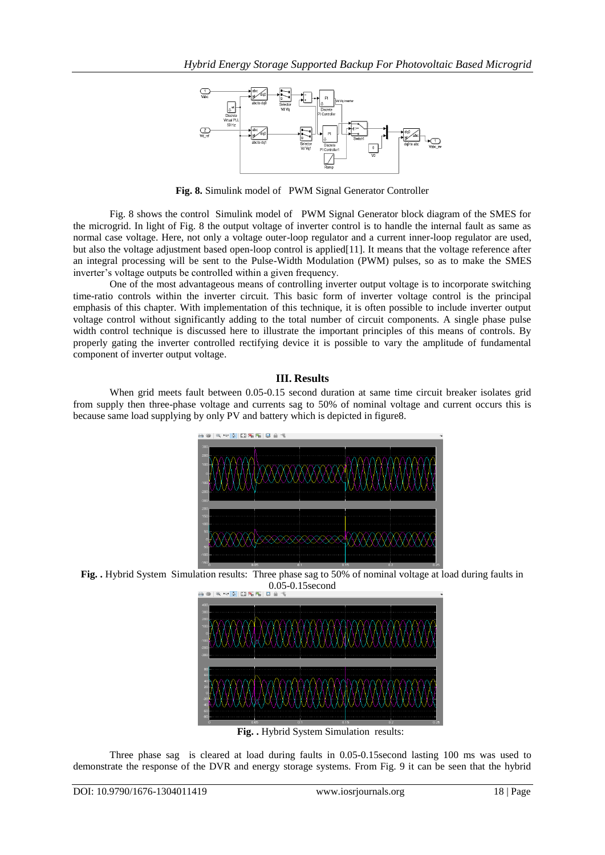

**Fig. 8.** Simulink model of PWM Signal Generator Controller

Fig. 8 shows the control Simulink model of PWM Signal Generator block diagram of the SMES for the microgrid. In light of Fig. 8 the output voltage of inverter control is to handle the internal fault as same as normal case voltage. Here, not only a voltage outer-loop regulator and a current inner-loop regulator are used, but also the voltage adjustment based open-loop control is applied[11]. It means that the voltage reference after an integral processing will be sent to the Pulse-Width Modulation (PWM) pulses, so as to make the SMES inverter's voltage outputs be controlled within a given frequency.

One of the most advantageous means of controlling inverter output voltage is to incorporate switching time-ratio controls within the inverter circuit. This basic form of inverter voltage control is the principal emphasis of this chapter. With implementation of this technique, it is often possible to include inverter output voltage control without significantly adding to the total number of circuit components. A single phase pulse width control technique is discussed here to illustrate the important principles of this means of controls. By properly gating the inverter controlled rectifying device it is possible to vary the amplitude of fundamental component of inverter output voltage.

## **III. Results**

When grid meets fault between 0.05-0.15 second duration at same time circuit breaker isolates grid from supply then three-phase voltage and currents sag to 50% of nominal voltage and current occurs this is because same load supplying by only PV and battery which is depicted in figure8.



**Fig. .** Hybrid System Simulation results: Three phase sag to 50% of nominal voltage at load during faults in  $0.05 - 0.15$ second



**Fig. .** Hybrid System Simulation results:

Three phase sag is cleared at load during faults in 0.05-0.15second lasting 100 ms was used to demonstrate the response of the DVR and energy storage systems. From Fig. 9 it can be seen that the hybrid